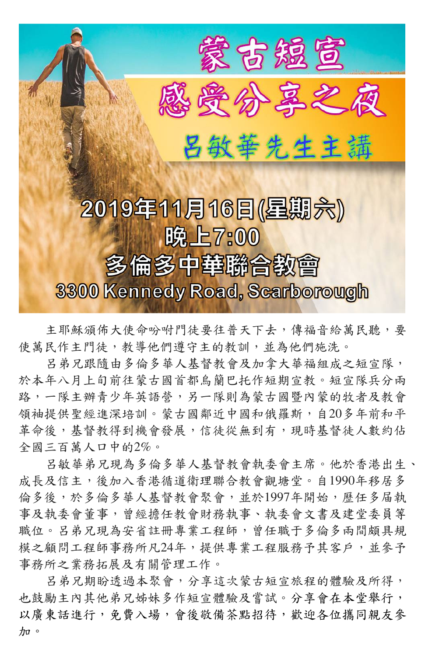

主耶穌頒佈大使命吩咐門徒要往普天下去,傳福音給萬民聽,要 使萬民作主門徒,教導他們遵守主的教訓,並為他們施洗。

呂弟兄跟隨由多倫多華人基督教會及加拿大華福組成之短宣隊, 於本年八月上旬前往蒙古國首都烏籣巴托作短期宣教。短宣隊兵分兩 路,一隊主辦青少年英語營,另一隊則為蒙古國暨內蒙的牧者及教會 領袖提供聖經進深培訓。蒙古國鄰近中國和俄羅斯,自20多年前和平 革命後,基督教得到機會發展,信徒從無到有,現時基督徒人數約佔 全國三百萬人口中的2%。

呂敏華弟兄現為多倫多華人基督教會執委會主席。他於香港出生、 成長及信主,後加入香港循道衛理聯合教會觀塘堂。自1990年移居多 倫多後,於多倫多華人基督教會聚會,並於1997年開始,歷任多届執 事及執委會董事,曾經擔任教會財務執事、執委會文書及建堂委員等 職位。呂弟兄現為安省註冊專業工程師,曾任職于多倫多兩間頗具規 模之顧問工程師事務所凡24年,提供專業工程服務予其客戶,並參予 事務所之業務拓展及有關管理工作。 呂弟兄期盼透過本聚會,分享這次蒙古短宣旅程的體驗及所得, 也鼓勵主內其他弟兄姊妹多作短宣體驗及嘗試。分享會在本堂舉行, 以廣東話進行,免費入場,會後敬備茶點招待,歡迎各位攜同親友參 加。